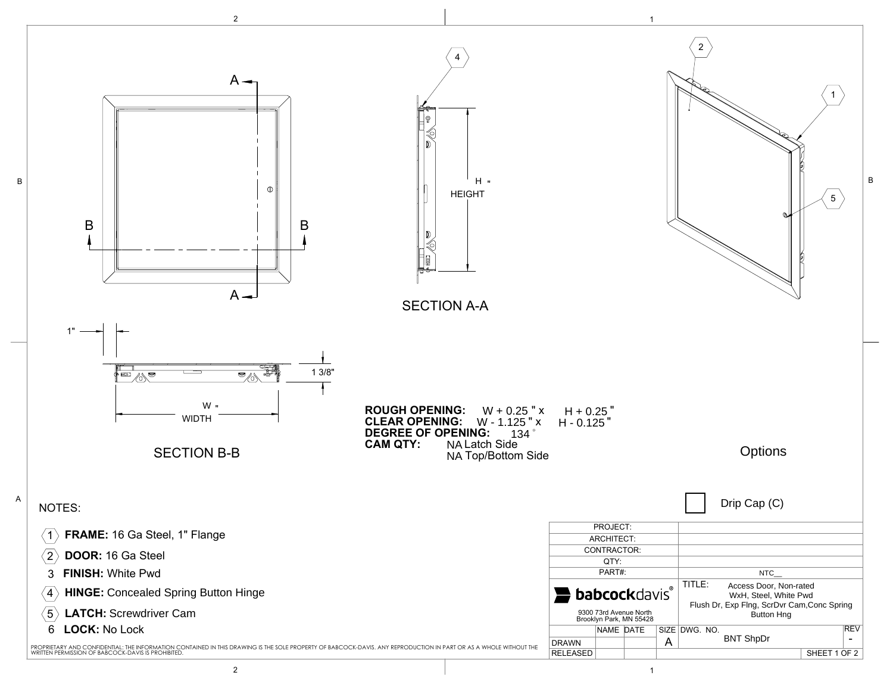